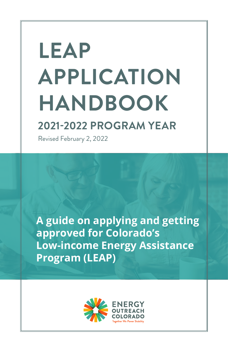# **LEAP APPLICATION HANDBOOK**

# **2021-2022 PROGRAM YEAR**

Revised February 2, 2022

**A guide on applying and getting approved for Colorado's Low-income Energy Assistance Program (LEAP)** 

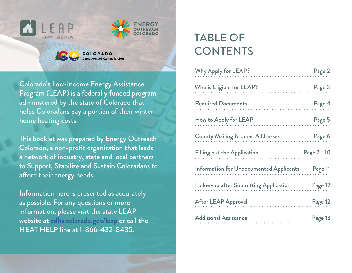



Colorado's Low-Income Energy Assistance Program (LEAP) is a federally funded program administered by the state of Colorado that helps Coloradans pay a portion of their winter home heating costs.

COLORADO **Department of Human Services** 

This booklet was prepared by Energy Outreach Colorado, a non-profit organization that leads a network of industry, state and local partners to Support, Stabilize and Sustain Coloradans to afford their energy needs.

Information here is presented as accurately as possible. For any questions or more information, please visit the state LEAP website at [cdhs.colorado.gov/leap](https://cdhs.colorado.gov/leap) or call the HEAT HELP line at 1-866-432-8435.

# TABLE OF **CONTENTS**

| Why Apply for LEAP?                                      | Page 2      |
|----------------------------------------------------------|-------------|
| Who is Eligible for LEAP?                                | Page 3      |
| <b>Required Documents</b>                                | Page 4      |
| How to Apply for LEAP                                    | Page 5      |
| <b>County Mailing &amp; Email Addresses</b>              | Page 6      |
| <b>Filling out the Application</b>                       | Page 7 - 10 |
| Information for Undocumented Applicants          Page 11 |             |
| Follow-up after Submitting Application                   | Page 12     |
| <b>After LEAP Approval</b>                               | Page 12     |
| <b>Additional Assistance</b>                             | Page 13     |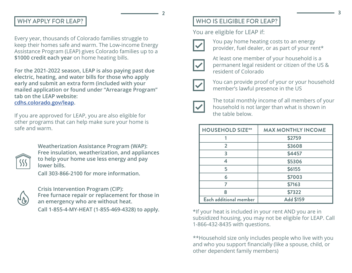### WHY APPLY FOR LEAP?

Every year, thousands of Colorado families struggle to keep their homes safe and warm. The Low-income Energy Assistance Program (LEAP) gives Colorado families up to a **\$1000 credit each year** on home heating bills.

**For the 2021-2022 season, LEAP is also paying past due electric, heating, and water bills for those who apply early and submit an extra form (included with your mailed application or found under "Arrearage Program" tab on the LEAP website: [cdhs.colorado.gov/leap.](https://cdhs.colorado.gov/leap)**

If you are approved for LEAP, you are also eligible for other programs that can help make sure your home is safe and warm.



**Weatherization Assistance Program (WAP): Free insulation, weatherization, and appliances to help your home use less energy and pay lower bills.** 

**Call 303-866-2100 for more information.**



**Crisis Intervention Program (CIP): Free furnace repair or replacement for those in an emergency who are without heat.** 

**Call 1-855-4-MY-HEAT (1-855-469-4328) to apply.**

# WHO IS ELIGIBLE FOR LEAP?

You are eligible for LEAP if:



**2**

You pay home heating costs to an energy provider, fuel dealer, or as part of your rent\*



At least one member of your household is a permanent legal resident or citizen of the US & resident of Colorado



You can provide proof of your or your household member's lawful presence in the US



The total monthly income of all members of your household is not larger than what is shown in the table below.

| <b>HOUSEHOLD SIZE**</b> | <b>MAX MONTHLY INCOME</b> |
|-------------------------|---------------------------|
|                         | \$2759                    |
| $\overline{2}$          | \$3608                    |
| 3                       | \$4457                    |
| ◢                       | \$5306                    |
| 5                       | \$6155                    |
| 6                       | \$7003                    |
|                         | \$7163                    |
| 8                       | \$7322                    |
| Each additional member  | <b>Add \$159</b>          |

\*If your heat is included in your rent AND you are in subsidized housing, you may not be eligible for LEAP. Call 1-866-432-8435 with questions.

\*\*Household size only includes people who live with you and who you support financially (like a spouse, child, or other dependent family members)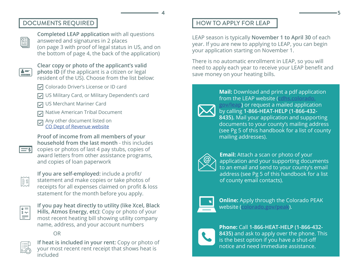# DOCUMENTS REQUIRED

<u>E</u>

**Completed LEAP application** with all questions answered and signatures in 2 places (on page 3 with proof of legal status in US, and on the bottom of page 4, the back of the application)

 $\left| \bullet \right|$ 

**Clear copy or photo of the applicant's valid photo ID** (if the applicant is a citizen or legal

resident of the US). Choose from the list below:

- **V** Colorado Driver's License or ID card
- US Military Card, or Military Dependent's card
- US Merchant Mariner Card
- Native American Tribal Document
- Any other document listed on  $\overline{\vee}$ [CO Dept of Revenue](https://dmv.colorado.gov/sites/dmv/files/documents/DR2300A_2021.pdf) website

**Proof of income from all members of your household from the last month** - this includes copies or photos of last 4 pay stubs, copies of award letters from other assistance programs, and copies of loan paperwork

 $\left|\frac{\text{max}}{\text{max}}\right|$ 

 $=$ sl

**If you are self-employed:** include a profit/ statement and make copies or take photos of receipts for all expenses claimed on profit & loss statement for the month before you apply.

 $\begin{tabular}{|c|c|} \hline $\circ$ & $\circ$ \\ \hline $\mathbb{I} \times \mathbb{I} \end{tabular}$ 

**If you pay heat directly to utility (like Xcel, Black Hills, Atmos Energy, etc):** Copy or photo of your most recent heating bill showing utility company name, address, and your account numbers

OR



**If heat is included in your rent:** Copy or photo of your most recent rent receipt that shows heat is included

# HOW TO APPLY FOR LEAP

LEAP season is typically **November 1 to April 30** of each year. If you are new to applying to LEAP, you can begin your application starting on November 1.

There is no automatic enrollment in LEAP, so you will need to apply each year to receive your LEAP benefit and save money on your heating bills.



**4**

from the LEAP website (**[cdhs.colorado.](https://cdhs.colorado.gov/leap) [gov/leap](https://cdhs.colorado.gov/leap))** or request a mailed application by calling **1-866-HEAT-HELP (1-866-432- 8435).** Mail your application and supporting documents to your county's mailing address (see Pg 5 of this handbook for a list of county mailing addresses).

**Mail:** Download and print a pdf application

**Email:** Attach a scan or photo of your application and your supporting documents to an email and send to your county's email address (see Pg 5 of this handbook for a list of county email contacts).



**Online:** Apply through the Colorado PEAK website (**[colorado.gov/peak](https://peak--coloradopeak.force.com/peak/s/peak-landing-page?language=en_US)**).

**Phone:** Call **1-866-HEAT-HELP (1-866-432- 8435)** and ask to apply over the phone. This is the best option if you have a shut-off notice and need immediate assistance.

**5**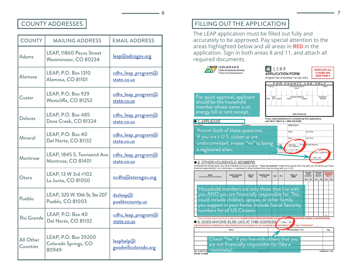#### COUNTY ADDRESSES

| <b>COUNTY</b>                | <b>MAILING ADDRESS</b>                                | <b>EMAIL ADDRESS</b>              |
|------------------------------|-------------------------------------------------------|-----------------------------------|
| Adams                        | LEAP, 11860 Pecos Street<br>Westminster, CO 80234     | leap@adcogov.org                  |
| Alamosa                      | <b>LEAP, P.O. Box 1310</b><br>Alamosa, CO 81101       | cdhs_leap_program@<br>state.co.us |
| Custer                       | LEAP, P.O. Box 929<br>Westcliffe, CO 81252            | cdhs_leap_program@<br>state.co.us |
| <b>Dolores</b>               | <b>LEAP, P.O. Box 485</b><br>Dove Creek, CO 81324     | cdhs_leap_program@<br>state.co.us |
| Mineral                      | LEAP, P.O. Box 40<br>Del Norte, CO 81132              | cdhs_leap_program@<br>state.co.us |
| Montrose                     | LEAP, 1845 S. Townsend Ave.<br>Montrose, CO 81401     | cdhs_leap_program@<br>state.co.us |
| Otero                        | LEAP, 13 W 3rd #102<br>La Junta, CO 81050             | ocdhs@oterogov.org                |
| Pueblo                       | LEAP, 320 W. 10th St. Ste 207<br>Pueblo, CO 81003     | dssleap@<br>pueblocounty.us       |
| Rio Grande                   | LEAP, P.O. Box 40<br>Del Norte, CO 81132              | cdhs_leap_program@<br>state.co.us |
| All Other<br><b>Counties</b> | LEAP, P.O. Box 39200<br>Colorado Springs, CO<br>80949 | leaphelp@<br>goodwillcolorado.org |

### FILLING OUT THE APPLICATION

**6**

The LEAP application must be filled out fully and accurately to be approved. Pay special attention to the areas highlighted below and all areas in **RED** in the application. Sign in both areas 8 and 11, and attach all required documents.



**7**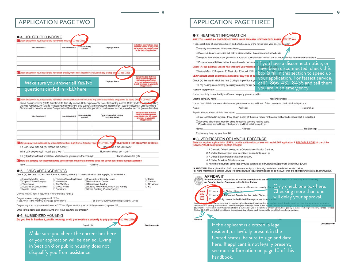| Who Receives It?                                                                                              | How Often Paid? | Gross Monthly<br>Amount | <b>Employer Name</b> | Initial this box that you have<br>attached copies of pay stubs<br>for at least the 4 weeks prior<br>to the date of application                                |
|---------------------------------------------------------------------------------------------------------------|-----------------|-------------------------|----------------------|---------------------------------------------------------------------------------------------------------------------------------------------------------------|
|                                                                                                               |                 |                         |                      |                                                                                                                                                               |
| B. Does anyone in your household have self-employment work income? (Includes baby sitting, etc. El Yes El No. |                 |                         |                      |                                                                                                                                                               |
| Make sure you answer all Yes/No                                                                               |                 |                         | <b>Employer Name</b> | Initial this box that you<br>have attached copies of<br>self-employment profit<br>and loss statement for the<br>month previous to your date<br>of application |

C. Does anyone in your household have non-work income (which includes any public assistance programs) as listed be Social Security income (SSA); Supplemental Security Income (SSI); Supplemental Security Disability Income (SSDI); Coloras

Codia Age Pension (OAP); Ald to the Needy Disabled (AND); child support; alimony/spousal maintenance; veteran's disability; Unemployment<br>Compensation benefits; Workers Compensation/disability or sick benefits; pensions or

| Who Receives It?                                                                                   | How Often Paid? | <b>Gross Monthly</b><br>Amount | Type of Non-Work Income<br>as Listed Above | Initial this box that you<br>have attached copies of<br>award letters for the month<br>previous to your date<br>of application |
|----------------------------------------------------------------------------------------------------|-----------------|--------------------------------|--------------------------------------------|--------------------------------------------------------------------------------------------------------------------------------|
|                                                                                                    |                 |                                |                                            |                                                                                                                                |
|                                                                                                    |                 |                                |                                            |                                                                                                                                |
| D. Did you pay your expenses by a loan last month or a gift from a friend or relation $27 \pm 200$ |                 |                                |                                            | les, provide a loan repayment schedule.                                                                                        |
| If a loan, what date did you receive the money?                                                    |                 |                                | How such is the total loan?                |                                                                                                                                |
| What date do you begin repaying the loan?                                                          |                 |                                | How much money per month?                  |                                                                                                                                |
| If a gift(s) from a friend or relative, what date did you receive the money?                       |                 |                                | How much was the gift?                     |                                                                                                                                |

How did you pay for these following costs if your household income does not cover your basic living expenses?

Rent:

#### **.** 5. LIVING ARRANGEMENTS

Check (v') the item that best describes the dwelling where you currently live and are applying for assistance.

| House/Modular Home<br>Duplex/Triplex/Fourplex | Rooming/Boarding House<br>Hotel/Motel | Fraternity or Sorority House<br>Rehabilitation Center | Cabin<br>$\Box$ Camper |
|-----------------------------------------------|---------------------------------------|-------------------------------------------------------|------------------------|
| □ Townhouse                                   | Car/Van/Bus                           | Correctional Facility                                 | 5th Wheel              |
| Apartment/Condominium                         | Group Home                            | Nursing Home/Residential Care Facility                | <b>ORV</b>             |
| Mobile Home                                   | Dormitory                             | Other Dwelling, Please Specify:                       |                        |

Utilities:

Do you rent?  $\Box$  Yes. If yes, what is your monthly rent?  $\Im$ 

Do you have a mortgage payment? [] Yes.

If yes, what is the monthly mortgage payment? \$ : or, do you own your dwelling outright? I Yes

Do you pay a lot or space rental amount?  $\Box$  Yes. If yes, what is your monthly space rent payment? \$

#### What is the name and phone number of your apartment complex?

#### ● 6. SUBSIDIZED HOUSING

Do you live in Section 8, public housing, or do you receive a subsidy to pay your rent P □ Yes □ No Page 2 of 4

Make sure you check the correct box here or your application will be denied. Living in Section 8 or public housing does not disqualify you from assistance.

## APPLICATION PAGE TWO  $\parallel$  application page three

**8**

| If yes, check type of emergency below and attach a copy of the notice from your energy provider:<br>□ Already disconnected. Disconnect Date:<br>□ Received disconnect notice but not yet disconnected. Date disconnect scheduled: |                                                                                                                                                                                                                                                       |
|-----------------------------------------------------------------------------------------------------------------------------------------------------------------------------------------------------------------------------------|-------------------------------------------------------------------------------------------------------------------------------------------------------------------------------------------------------------------------------------------------------|
|                                                                                                                                                                                                                                   |                                                                                                                                                                                                                                                       |
|                                                                                                                                                                                                                                   |                                                                                                                                                                                                                                                       |
|                                                                                                                                                                                                                                   | □ Propane tank empty or are you out of a bulk fuel such as wood, fuel oil, etc.? Amount needed for minimum delivery: \$                                                                                                                               |
| □ Propane tank at 20% or below. Amount needed for minin                                                                                                                                                                           |                                                                                                                                                                                                                                                       |
|                                                                                                                                                                                                                                   | <u>you have a disconnect notice, or</u>                                                                                                                                                                                                               |
| Check $(\checkmark)$ the main fuel used to heat (not light) your residence                                                                                                                                                        | have been disconnected, check this                                                                                                                                                                                                                    |
| □ Natural Gas □ Propane □ Electricity □ Wood □ Coa                                                                                                                                                                                | box & fill in this section to speed up                                                                                                                                                                                                                |
| LEAP cannot assist or provide a benefit for any type of po                                                                                                                                                                        | your application. For fastest service,                                                                                                                                                                                                                |
| Check $(\checkmark)$ the way in which the heat (not light) is paid for at yo                                                                                                                                                      | $1 - 866 - 432 - 8435$ and tell them                                                                                                                                                                                                                  |
| □ I pay heating costs directly to a utility company or fuel de                                                                                                                                                                    |                                                                                                                                                                                                                                                       |
| Name of fuel provider:                                                                                                                                                                                                            | you are in an emergency.                                                                                                                                                                                                                              |
| If your electricity is supplied by a different company, please provide:                                                                                                                                                           |                                                                                                                                                                                                                                                       |
| Electric company name:                                                                                                                                                                                                            | Account number:                                                                                                                                                                                                                                       |
|                                                                                                                                                                                                                                   | If your heat bill is in someone else's name, provide name and address of that person and their relationship to you.                                                                                                                                   |
| Address:<br>Name:                                                                                                                                                                                                                 | Relationship:                                                                                                                                                                                                                                         |
| Explain why your heat bill is in their name:                                                                                                                                                                                      |                                                                                                                                                                                                                                                       |
|                                                                                                                                                                                                                                   | □ Heat is included in my rent. (If so, attach a copy of the most recent rent receipt that already shows heat is included.)                                                                                                                            |
| $\square$ Someone other than a member of my household pays my heating costs.<br>Provide name and address of that person and their relationship to you.                                                                            |                                                                                                                                                                                                                                                       |
| Name:                                                                                                                                                                                                                             | Address:<br>Relationship:                                                                                                                                                                                                                             |
| Explain why they pay your heat bill:                                                                                                                                                                                              |                                                                                                                                                                                                                                                       |
| 8. VERIFICATION OF LAWFUL PRESENCE<br>following VALID identifications must be provided:<br>1. A Colorado Driver License; or, a Colorado Identification Card; or,                                                                  | State law requires applicants for LEAP to provide additional documents with each LEAP application. A READABLE COPY of one of the                                                                                                                      |
| 2. A United States military card or, military dependant's card; or,                                                                                                                                                               |                                                                                                                                                                                                                                                       |
|                                                                                                                                                                                                                                   |                                                                                                                                                                                                                                                       |
| 3. A United States Merchant Mariner card; or.                                                                                                                                                                                     |                                                                                                                                                                                                                                                       |
| 4. A Native American Tribal document.                                                                                                                                                                                             |                                                                                                                                                                                                                                                       |
|                                                                                                                                                                                                                                   | 5. Any other document authorized by rules adopted by the Colorado Department of Revenue (DOR).                                                                                                                                                        |
| <b>AFFIDAVIT</b>                                                                                                                                                                                                                  | IN ADDITION: The applicant for LEAP must also correctly complete, sign and date the Affidavit located below.<br>For more information regarding Lawful Presence law and requirement please go to the DOR web site at: http://www.colorado.gov/revenue. |

If the applicant is a citizen, a legal resident, or lawfully present in the United States, be sure to sign and date here. If applicant is not legally present, see more information on page 10 of this handbook.

 $\text{Continue} \longrightarrow$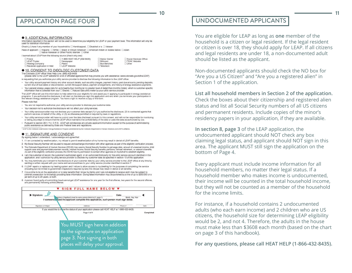#### APPLICATION PAGE FOUR

#### **9. ADDITIONAL INFORMATION**

Information reported in this section will not be used to determine your eligibility for LEAP or your payment level. This information will only be used for statistical information.

**10**

Check (V) here if any member of your household is: [ Handicapped. [ Disabled or a [ ] Veteran

Race of applicant: [ Hispanic | White | Black or African American | American Indian or Alaska Native | Asian □ Native Hawaiian or Other Pacific Islander □ Other

I learned about LEAP from the following source (check only one):

| □ 1-866-HEAT-HELP (432-8435)<br>Friend<br><b>ELEAP</b> Poster<br>Newspaper<br>Heating Company<br><b>Badio</b><br><b>ILEAP</b> Website<br>Received Application in Mail | Senior Center<br>Billboard<br><b>Bus Benches</b><br>Television | Social Services Office<br>PEAK Website<br>Cther |
|-----------------------------------------------------------------------------------------------------------------------------------------------------------------------|----------------------------------------------------------------|-------------------------------------------------|
|-----------------------------------------------------------------------------------------------------------------------------------------------------------------------|----------------------------------------------------------------|-------------------------------------------------|

#### **. 10. CONSENT TO DISCLOSE CUSTOMER DATA**

The Colorado LEAP office' Heat Help Line: (866) 432-8435

(please refer to the LEAP website for a list of affiliated agencies that may provide you with assistance: www.colorado.gov/cdhs/LEAP) is requesting that you authorize your utility service provider to disclose the following information to the LEAP office:

- · Your utility account payment history and other account details, such as utility charges, payment history, past due amounts, pending deposits, current shut-off due dates or disconnection, current life support status, payment arrangements, and history of energy assistance payments.
- + Your general energy usage data for up to twenty-four months (at no greater level of detail than monthly totals), which is customer-specific information that is collected from your  $\Box$  Electric  $\Box$  Natural Gas utility meter by your utility service provider.

The LEAP office will use this information to help determine your eligibility for and assist you in applying to participate in energy assistance programs. If you authorize the disclosure, it will start on the date you sign this application and end when you terminate your participation in the relevant energy assistance program. You have a right to receive a copy of this form

Please note that:

- · You are not required to authorize your utility service provider to disclose your customer data
- · Your decision not to authorize the disclosure will not affect your utility services.
- · Your utility service provider may not disclose your customer data except (1) if you authorize the disclosure, (2) to contracted agents that perform services on behalf of the utility, or (3) as otherwise permitted or required by laws or regulations.
- + Your utility service provider will have no control over the data disclosed pursuant to this consent, and will not be responsible for monitoring or taking any steps to ensure that the LEAP office maintains the confidentiality of the data or uses the data as authorized by you
- Pursuant to section 26-1-114, C.R.S., LEAP will not disclose any private applicant information except for the purpose of administering public assistance as defined by State and Federal laws and regulations.

\* LEAP is the Colorado Low-Income Energy Assistance Program administered by the Colorado Department of Human Services and LEAP's affiliate

#### **11. SIGNATURE AND CONSENT**

By signing below I understand, I acknowledge and agree that:

- 1. If I am contacted by weatherization, my refusal to permit weatherization of my home may result in denial of LEAP benefits.
- 2. My Social Security Number will be used to request and exchange information with other agencies as part of the eligibility verification process.
- 3. The Colorado Department of Human Services (CDHS) may use my Social Security Number to get wage data, amount of unearned income, child support case and payment disbursement records, interest income, Social Security benefits, pensions, ralitoad retirement, or veteran's benefits.<br>As part of the eligibility verification process, the CDHS has my permission to
- 4. I am the customer of record, the customer's authorized agent, or an authorized third party for the utility service account identified in this application, and I authorize my utility service provider to disclose my customer data as specified in section 10 of this application.
- 5. You may terminate your consent to the disclosure of your customer data by your utility service provider to the LEAP office at any time by sending a written request with your name and service address to your utility service provider identified in section 7.
- 6. If LEAP repairs or replaces my heating system and I refuse to allow access to my dwelling for the purposes of completing the service (including but not limited to government inspections required by law) this refusal may result in denial of all benefits.
- 7. It is a crime to lie on the application or to take benefits that I know my family and I are not eligible to receive and I may be subject to criminal prosecution for knowingly providing false information. Giving false information may be punished by a fine of up to \$250,000 or a jail term of up to 20 years, or both.
- 8. A person found guilty of committing fraud cannot get LEAP assistance for one year for the first offense, two years for the second offense, and permanently following a third offense



#### UNDOCUMENTED APPLICANTS

You are eligible for LEAP as long as **one** member of the household is a citizen or legal resident. If the legal resident or citizen is over 18, they should apply for LEAP. If all citizens and legal residents are under 18, a non-documented adult should be listed as the applicant.

Non-documented applicants should check the NO box for "Are you a US Citizen" and "Are you a registered alien" in Section 1 of the application.

#### **List all household members in Section 2 of the application.**

Check the boxes about their citizenship and registered alien status and list all Social Security numbers of all US citizens and permanent residents. Include copies of the minor's residency papers in your application, if they are available.

**In section 8, page 3** of the LEAP application, the undocumented applicant should NOT check any box claiming legal status, and applicant should NOT sign in this area. The applicant MUST still sign the application on the bottom of Page 4.

Every applicant must include income information for all household members, no matter their legal status. If a household member who makes income is undocumented, their income will be counted in the total household income, but they will not be counted as a member of the household for the income limits.

For instance, if a household contains 2 undocumented adults (who each earn income) and 2 children who are US citizens, the household size for determining LEAP eligibility would be 2, and not 4. Therefore, the adults in the house must make less than \$3608 each month (based on the chart on page 3 of this handbook).

**For any questions, please call HEAT HELP (1-866-432-8435).**

**11**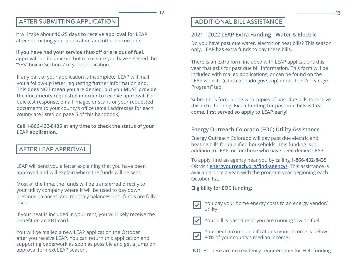#### AFTER SUBMITTING APPLICATION

It will take about **10-25 days to receive approval for LEAP**  after submitting your application and other documents.

**If you have had your service shut-off or are out of fuel**, approval can be quicker, but make sure you have selected the "YES" box in Section 7 of your application.

If any part of your application is incomplete, LEAP will mail you a follow-up letter requesting further information and. **This does NOT mean you are denied, but you MUST provide the documents requested in order to receive approval.** For quickest response, email images or scans or your requested documents to your county's office (email addresses for each county are listed on page 5 of this handbook).

**Call 1-866-432-8435 at any time to check the status of your LEAP application.** 

# AFTER LEAP APPROVAL

LEAP will send you a letter explaining that you have been approved and will explain where the funds will be sent.

Most of the time, the funds will be transferred directly to your utility company where it will be used to pay down previous balances, and monthly balances until funds are fully used.

If your heat is included in your rent, you will likely receive the benefit on an EBT card.

You will be mailed a new LEAP application the October after you receive LEAP. You can return this application and supporting paperwork as soon as possible and get a jump on approval for next LEAP season.

### ADDITIONAL BILL ASSISTANCE

#### **2021 - 2022 LEAP Extra Funding** - **Water & Electric**

Do you have past due water, electric or heat bills? This season only, LEAP has extra funds to pay these bills.

There is an extra form included with LEAP applications this year that asks for past due bill information. This form will be included with mailed applications, or can be found on the LEAP website ([cdhs.colorado.gov/leap](https://cdhs.colorado.gov/leap)) under the "Arrearage Program" tab.

Submit this form along with copies of past due bills to receive this extra funding. **Extra funding for past due bills is first come, first served so apply to LEAP early!** 

#### **Energy Outreach Colorado (EOC) Utility Assistance**

Energy Outreach Colorado will pay past due electric and heating bills for qualified households. This funding is in addition to LEAP, or for those who have been denied LEAP.

To apply, find an agency near you by calling **1-866-432-8435**  OR visit **[energyoutreach.org/find-agency/](https://www.energyoutreach.org/find-agency/)**. This assistance is available once a year, with the program year beginning each October 1st.

**Eligibility for EOC funding:**

 $\checkmark$ 

**12**

You pay your home energy costs to an energy vendor/ utility

Your bill is past due or you are running low on fuel



You meet income qualifications (your income is below 80% of your county's median income)

**NOTE:** There are no residency requirements for EOC funding.